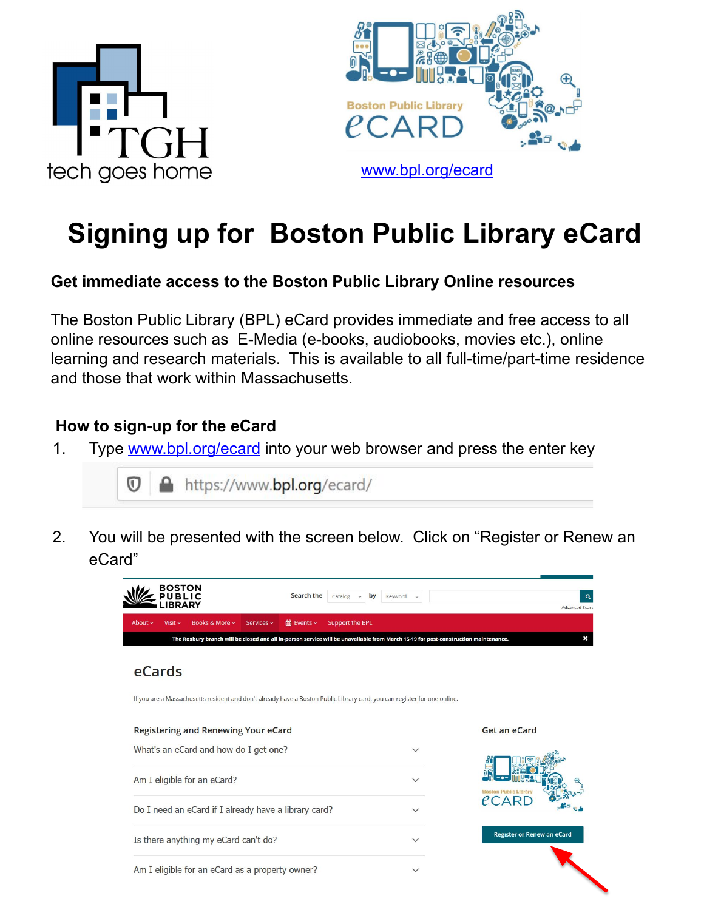



# **Signing up for Boston Public Library eCard**

#### **Get immediate access to the Boston Public Library Online resources**

The Boston Public Library (BPL) eCard provides immediate and free access to all online resources such as E-Media (e-books, audiobooks, movies etc.), online learning and research materials. This is available to all full-time/part-time residence and those that work within Massachusetts.

#### **How to sign-up for the eCard**

1. Type [www.bpl.org/ecard](http://www.bpl.org/ecard) into your web browser and press the enter key



2. You will be presented with the screen below. Click on "Register or Renew an eCard"

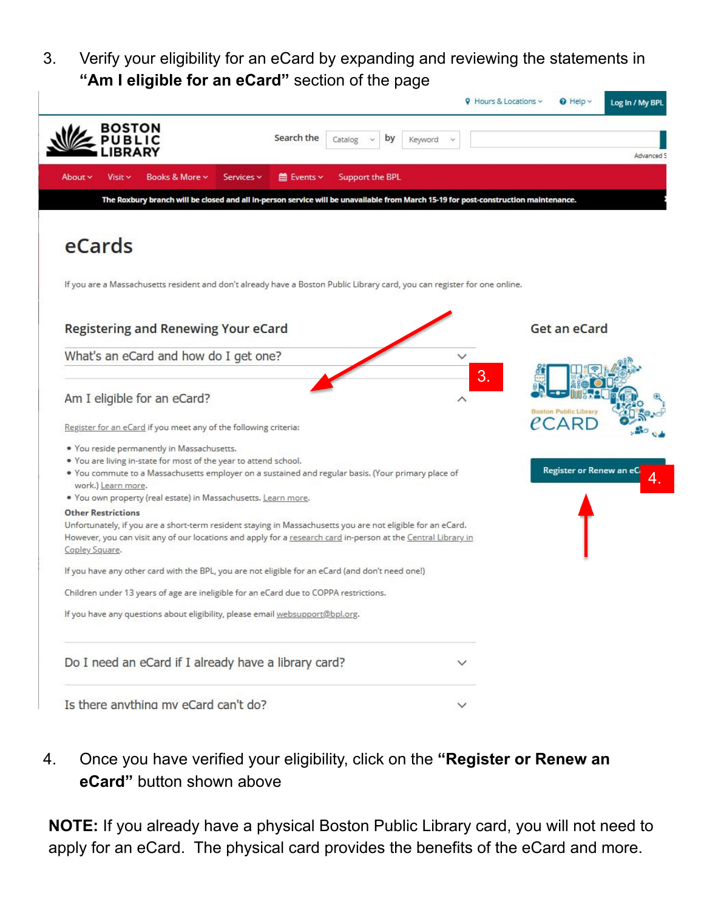3. Verify your eligibility for an eCard by expanding and reviewing the statements in **"Am I eligible for an eCard"** section of the page



4. Once you have verified your eligibility, click on the **"Register or Renew an eCard"** button shown above

**NOTE:** If you already have a physical Boston Public Library card, you will not need to apply for an eCard. The physical card provides the benefits of the eCard and more.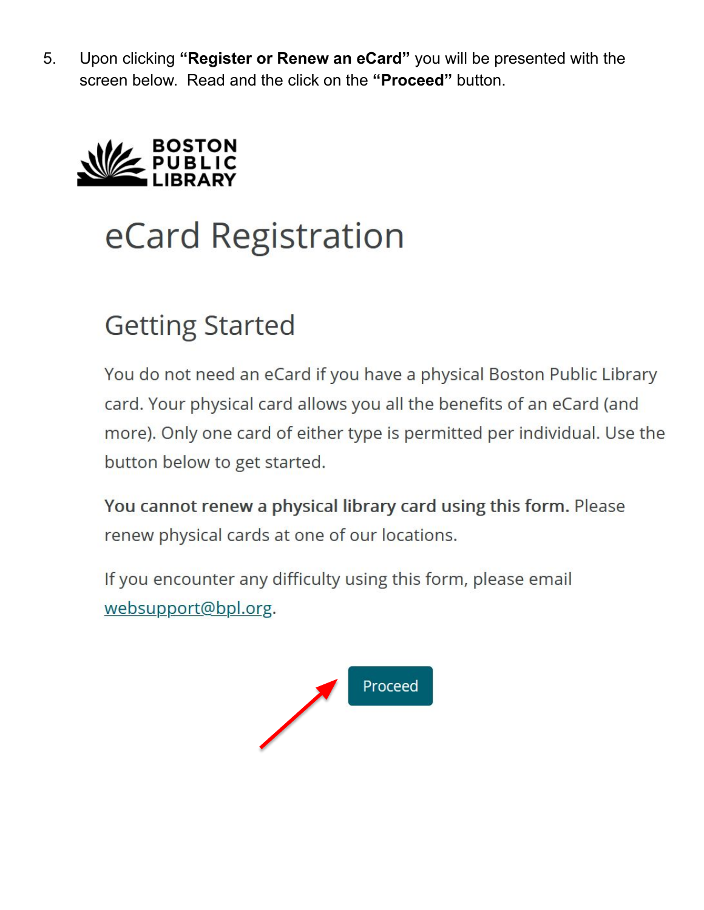5. Upon clicking "Register or Renew an eCard" you will be presented with the screen below. Read and the click on the "**Proceed**" button.



# eCard Registration

# **Getting Started**

You do not need an eCard if you have a physical Boston Public Library card. Your physical card allows you all the benefits of an eCard (and more). Only one card of either type is permitted per individual. Use the button below to get started.

You cannot renew a physical library card using this form. Please renew physical cards at one of our locations.

If you encounter any difficulty using this form, please email websupport@bpl.org.

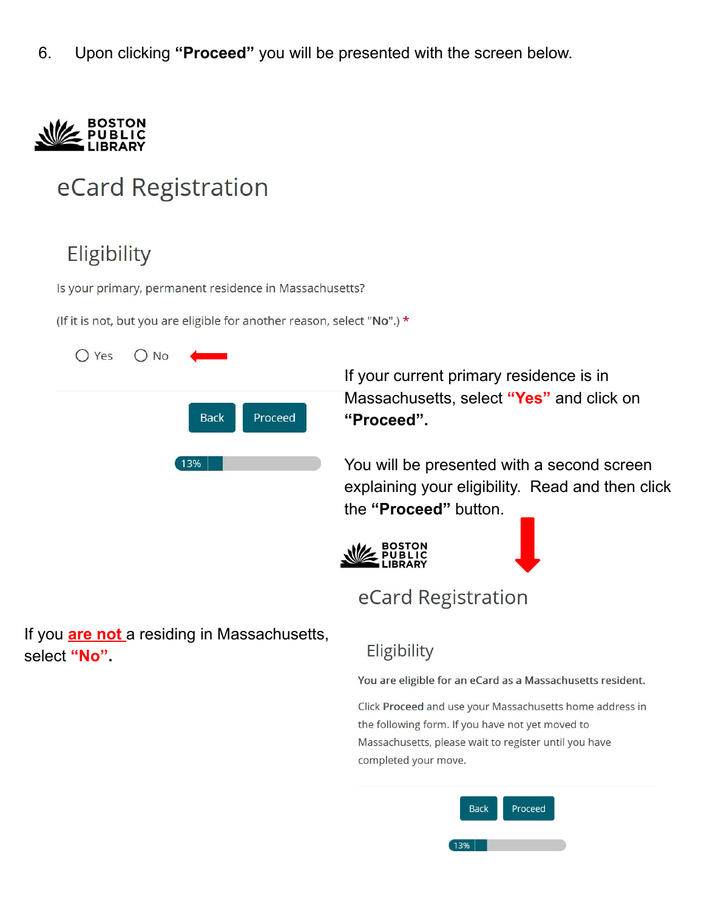Upon clicking "Proceed" you will be presented with the screen below. 6.



# eCard Registration

# Eligibility

Is your primary, permanent residence in Massachusetts?

(If it is not, but you are eligible for another reason, select "No".) \*

| $O Yes$ $O No$ | <u> Angeles St</u> |         |
|----------------|--------------------|---------|
|                | <b>Back</b>        | Proceed |
|                | 13%                |         |
|                |                    |         |
|                |                    |         |
|                |                    |         |

If you are not a residing in Massachusetts, select "No"

### Eligibility

the "Proceed" button.

eCard Registration

"Proceed".

#### You are eligible for an eCard as a Massachusetts resident.

If your current primary residence is in

Massachusetts, select "Yes" and click on

You will be presented with a second screen explaining your eligibility. Read and then click

Click Proceed and use your Massachusetts home address in the following form. If you have not yet moved to Massachusetts, please wait to register until you have completed your move.

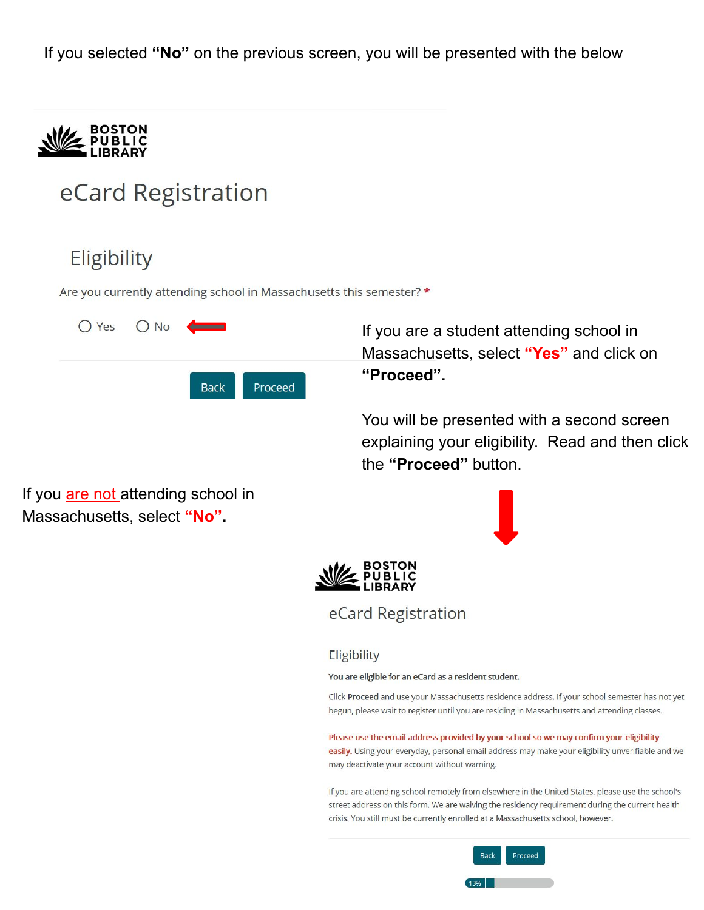If you selected **"No"** on the previous screen, you will be presented with the below



# eCard Registration

# Eligibility

Are you currently attending school in Massachusetts this semester? \*



If you are a student attending school in Massachusetts, select **"Yes"** and click on **"Proceed".** 

You will be presented with a second screen explaining your eligibility. Read and then click the **"Proceed"** button.

If you are not attending school in Massachusetts, select **"No".** 





eCard Registration

#### Eligibility

You are eligible for an eCard as a resident student.

Click Proceed and use your Massachusetts residence address. If your school semester has not yet begun, please wait to register until you are residing in Massachusetts and attending classes.

Please use the email address provided by your school so we may confirm your eligibility

easily. Using your everyday, personal email address may make your eligibility unverifiable and we may deactivate your account without warning.

If you are attending school remotely from elsewhere in the United States, please use the school's street address on this form. We are waiving the residency requirement during the current health crisis. You still must be currently enrolled at a Massachusetts school, however.

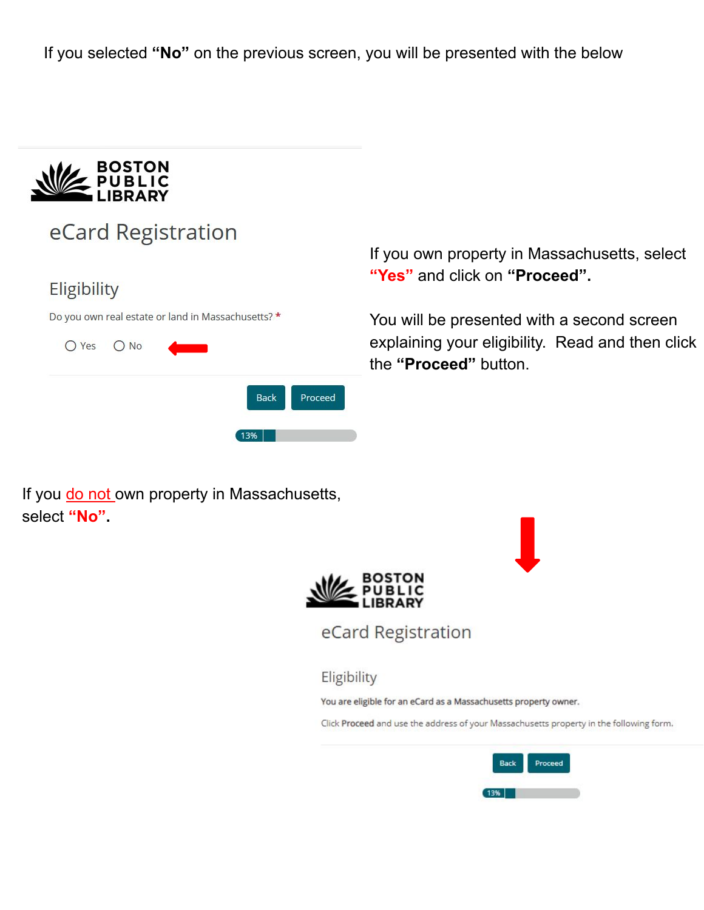If you selected **"No"** on the previous screen, you will be presented with the below



## eCard Registration

#### Eligibility

Do you own real estate or land in Massachusetts? \*



If you do not own property in Massachusetts, select **"No".** 

If you own property in Massachusetts, select **"Yes"** and click on **"Proceed".** 

You will be presented with a second screen explaining your eligibility. Read and then click the **"Proceed"** button.



eCard Registration

Eligibility

You are eligible for an eCard as a Massachusetts property owner.

Click Proceed and use the address of your Massachusetts property in the following form.

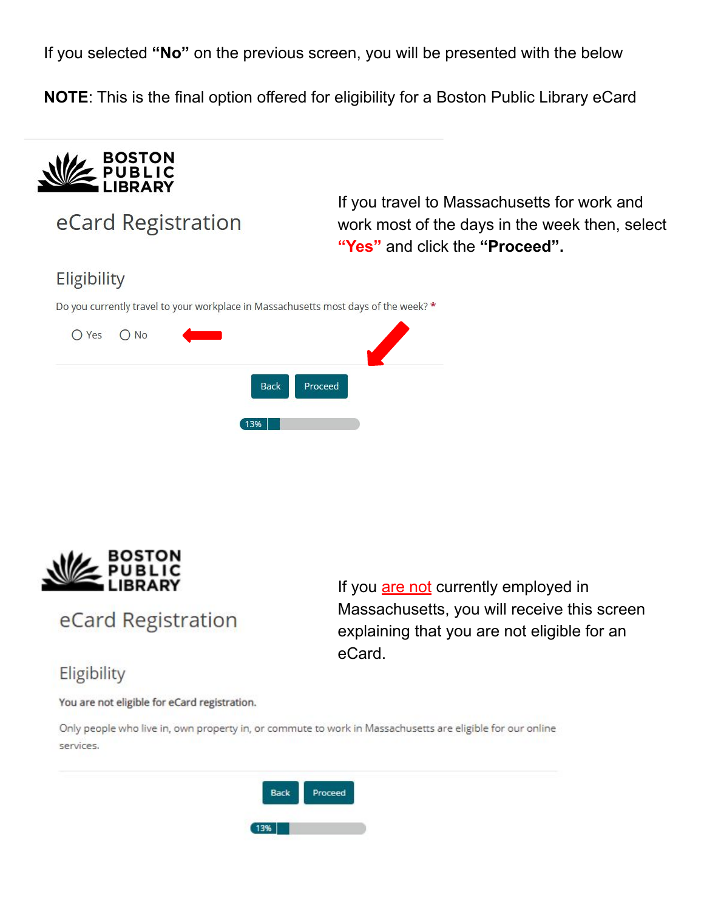If you selected **"No"** on the previous screen, you will be presented with the below

**NOTE**: This is the final option offered for eligibility for a Boston Public Library eCard



eCard Registration

If you travel to Massachusetts for work and work most of the days in the week then, select **"Yes"** and click the **"Proceed".** 

### Eligibility

Do you currently travel to your workplace in Massachusetts most days of the week? \*

| O Yes O No |     |              |  |
|------------|-----|--------------|--|
|            |     | Back Proceed |  |
|            | 13% |              |  |



eCard Registration

If you are not currently employed in Massachusetts, you will receive this screen explaining that you are not eligible for an eCard.

### Eligibility

You are not eligible for eCard registration.

Only people who live in, own property in, or commute to work in Massachusetts are eligible for our online services.

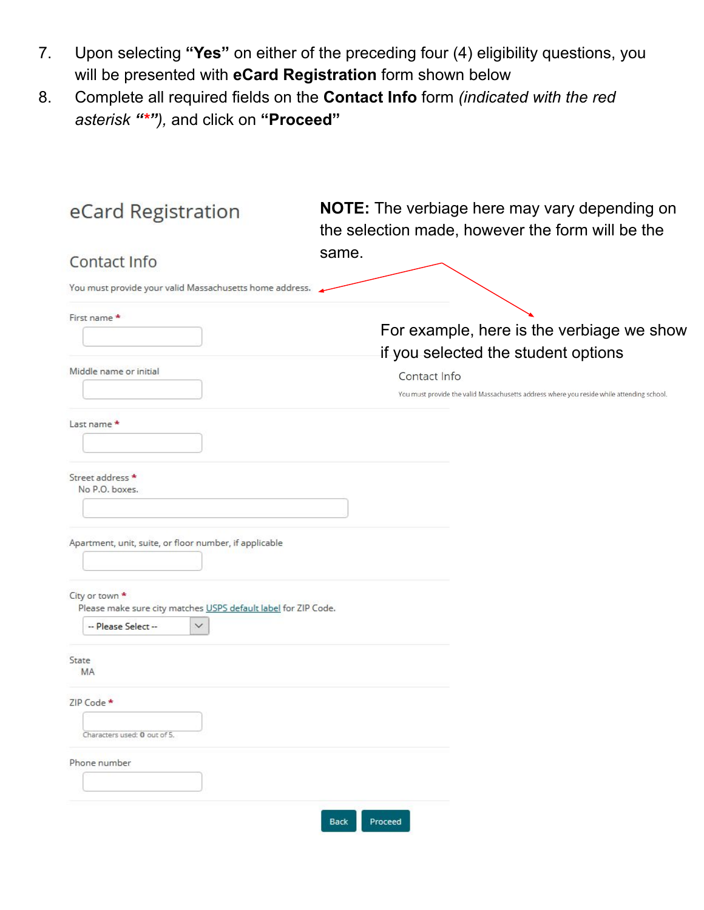- 7. Upon selecting **"Yes"** on either of the preceding four (4) eligibility questions, you will be presented with **eCard Registration** form shown below
- 8. Complete all required fields on the **Contact Info** form *(indicated with the red asterisk "\*"),* and click on **"Proceed"**

| eCard Registration                                                                                                      | <b>NOTE:</b> The verbiage here may vary depending on<br>the selection made, however the form will be the  |
|-------------------------------------------------------------------------------------------------------------------------|-----------------------------------------------------------------------------------------------------------|
| Contact Info                                                                                                            | same.                                                                                                     |
| You must provide your valid Massachusetts home address.                                                                 |                                                                                                           |
| First name *                                                                                                            | For example, here is the verbiage we show<br>if you selected the student options                          |
| Middle name or initial                                                                                                  | Contact Info<br>You must provide the valid Massachusetts address where you reside while attending school. |
| Last name *                                                                                                             |                                                                                                           |
| Street address *<br>No P.O. boxes.<br>Apartment, unit, suite, or floor number, if applicable                            |                                                                                                           |
| City or town *<br>Please make sure city matches USPS default label for ZIP Code.<br>-- Please Select --<br>$\checkmark$ |                                                                                                           |
| State<br><b>MA</b>                                                                                                      |                                                                                                           |
| ZIP Code ★<br>Characters used: 0 out of 5.                                                                              |                                                                                                           |
| Phone number                                                                                                            |                                                                                                           |
|                                                                                                                         | Proceed<br><b>Back</b>                                                                                    |